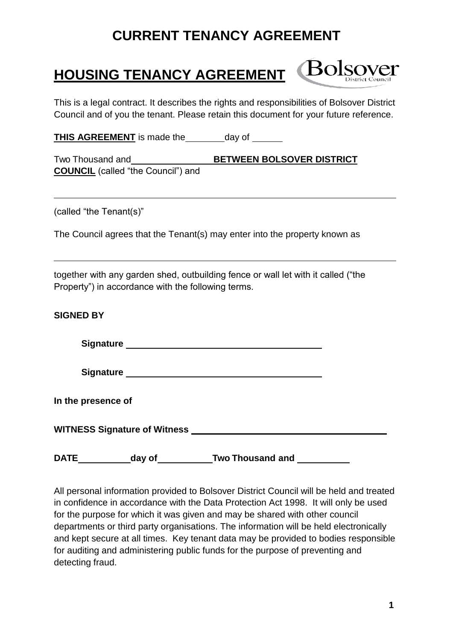## **HOUSING TENANCY AGREEMENT**

**Bolsover** 

This is a legal contract. It describes the rights and responsibilities of Bolsover District Council and of you the tenant. Please retain this document for your future reference.

**THIS AGREEMENT** is made the day of

Two Thousand and **BETWEEN BOLSOVER DISTRICT COUNCIL** (called "the Council") and

(called "the Tenant(s)"

The Council agrees that the Tenant(s) may enter into the property known as

together with any garden shed, outbuilding fence or wall let with it called ("the Property") in accordance with the following terms.

| <b>SIGNED BY</b>   |                                                                                                                                                                                                                                |                         |  |
|--------------------|--------------------------------------------------------------------------------------------------------------------------------------------------------------------------------------------------------------------------------|-------------------------|--|
|                    | Signature Signature Signature Signature Signature Signature Signature Signature Signature Signature Signature Signature Signature Signature Signature Signature Signature Signature Signature Signature Signature Signature Si |                         |  |
|                    |                                                                                                                                                                                                                                |                         |  |
| In the presence of |                                                                                                                                                                                                                                |                         |  |
|                    |                                                                                                                                                                                                                                |                         |  |
| <b>DATE</b>        | day of                                                                                                                                                                                                                         | <b>Two Thousand and</b> |  |

All personal information provided to Bolsover District Council will be held and treated in confidence in accordance with the Data Protection Act 1998. It will only be used for the purpose for which it was given and may be shared with other council departments or third party organisations. The information will be held electronically and kept secure at all times. Key tenant data may be provided to bodies responsible for auditing and administering public funds for the purpose of preventing and detecting fraud.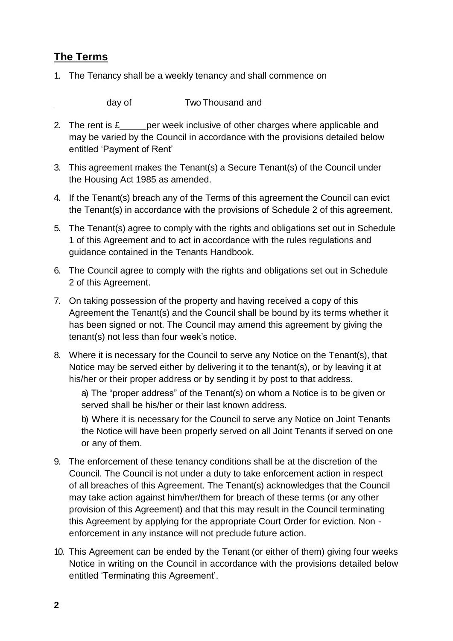### **The Terms**

1. The Tenancy shall be a weekly tenancy and shall commence on

day of\_\_\_\_\_\_\_\_\_\_\_\_Two Thousand and \_\_\_\_\_\_\_\_\_\_\_

- 2. The rent is  $f_2$  per week inclusive of other charges where applicable and may be varied by the Council in accordance with the provisions detailed below entitled 'Payment of Rent'
- 3. This agreement makes the Tenant(s) a Secure Tenant(s) of the Council under the Housing Act 1985 as amended.
- 4. If the Tenant(s) breach any of the Terms of this agreement the Council can evict the Tenant(s) in accordance with the provisions of Schedule 2 of this agreement.
- 5. The Tenant(s) agree to comply with the rights and obligations set out in Schedule 1 of this Agreement and to act in accordance with the rules regulations and guidance contained in the Tenants Handbook.
- 6. The Council agree to comply with the rights and obligations set out in Schedule 2 of this Agreement.
- 7. On taking possession of the property and having received a copy of this Agreement the Tenant(s) and the Council shall be bound by its terms whether it has been signed or not. The Council may amend this agreement by giving the tenant(s) not less than four week's notice.
- 8. Where it is necessary for the Council to serve any Notice on the Tenant(s), that Notice may be served either by delivering it to the tenant(s), or by leaving it at his/her or their proper address or by sending it by post to that address.

a) The "proper address" of the Tenant(s) on whom a Notice is to be given or served shall be his/her or their last known address.

b) Where it is necessary for the Council to serve any Notice on Joint Tenants the Notice will have been properly served on all Joint Tenants if served on one or any of them.

- 9. The enforcement of these tenancy conditions shall be at the discretion of the Council. The Council is not under a duty to take enforcement action in respect of all breaches of this Agreement. The Tenant(s) acknowledges that the Council may take action against him/her/them for breach of these terms (or any other provision of this Agreement) and that this may result in the Council terminating this Agreement by applying for the appropriate Court Order for eviction. Non enforcement in any instance will not preclude future action.
- 10. This Agreement can be ended by the Tenant (or either of them) giving four weeks Notice in writing on the Council in accordance with the provisions detailed below entitled 'Terminating this Agreement'.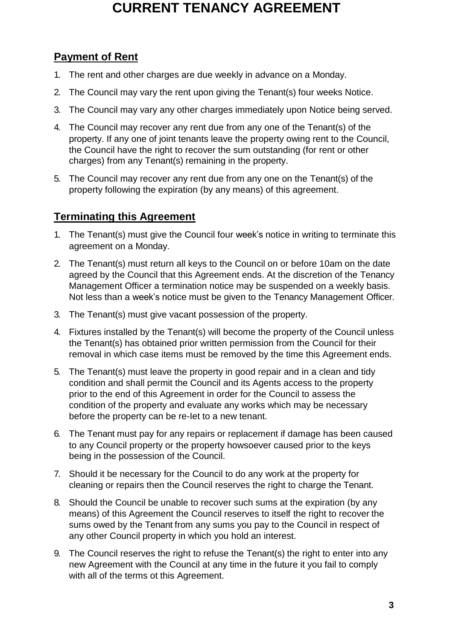### **Payment of Rent**

- 1. The rent and other charges are due weekly in advance on a Monday.
- 2. The Council may vary the rent upon giving the Tenant(s) four weeks Notice.
- 3. The Council may vary any other charges immediately upon Notice being served.
- 4. The Council may recover any rent due from any one of the Tenant(s) of the property. If any one of joint tenants leave the property owing rent to the Council, the Council have the right to recover the sum outstanding (for rent or other charges) from any Tenant(s) remaining in the property.
- 5. The Council may recover any rent due from any one on the Tenant(s) of the property following the expiration (by any means) of this agreement.

### **Terminating this Agreement**

- 1. The Tenant(s) must give the Council four week's notice in writing to terminate this agreement on a Monday.
- 2. The Tenant(s) must return all keys to the Council on or before 10am on the date agreed by the Council that this Agreement ends. At the discretion of the Tenancy Management Officer a termination notice may be suspended on a weekly basis. Not less than a week's notice must be given to the Tenancy Management Officer.
- 3. The Tenant(s) must give vacant possession of the property.
- 4. Fixtures installed by the Tenant(s) will become the property of the Council unless the Tenant(s) has obtained prior written permission from the Council for their removal in which case items must be removed by the time this Agreement ends.
- 5. The Tenant(s) must leave the property in good repair and in a clean and tidy condition and shall permit the Council and its Agents access to the property prior to the end of this Agreement in order for the Council to assess the condition of the property and evaluate any works which may be necessary before the property can be re-Iet to a new tenant.
- 6. The Tenant must pay for any repairs or replacement if damage has been caused to any Council property or the property howsoever caused prior to the keys being in the possession of the Council.
- 7. Should it be necessary for the Council to do any work at the property for cleaning or repairs then the Council reserves the right to charge the Tenant.
- 8. Should the Council be unable to recover such sums at the expiration (by any means) of this Agreement the Council reserves to itself the right to recover the sums owed by the Tenant from any sums you pay to the Council in respect of any other Council property in which you hold an interest.
- 9. The Council reserves the right to refuse the Tenant(s) the right to enter into any new Agreement with the Council at any time in the future it you fail to comply with all of the terms ot this Agreement.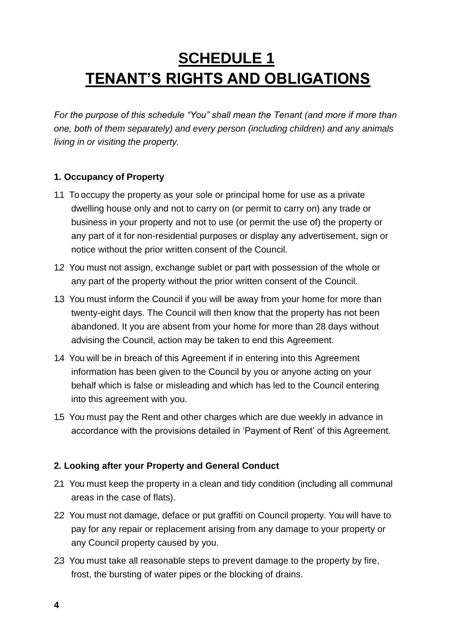# **SCHEDULE 1 TENANT'S RIGHTS AND OBLlGATIONS**

*For the purpose of this schedule "You" shall mean the Tenant (and more if more than one, both of them separately) and every person (including children) and any animals living in or visiting the property.*

#### **1. Occupancy of Property**

- 1.1 To occupy the property as your sole or principal home for use as a private dwelling house only and not to carry on (or permit to carry on) any trade or business in your property and not to use (or permit the use of) the property or any part of it for non-residential purposes or display any advertisement, sign or notice without the prior written consent of the Council.
- 1.2 You must not assign, exchange sublet or part with possession of the whole or any part of the property without the prior written consent of the Council.
- 1.3 You must inform the Council if you will be away from your home for more than twenty-eight days. The Council will then know that the property has not been abandoned. It you are absent from your home for more than 28 days without advising the Council, action may be taken to end this Agreement.
- 1.4 You will be in breach of this Agreement if in entering into this Agreement information has been given to the Council by you or anyone acting on your behalf which is false or misleading and which has led to the Council entering into this agreement with you.
- 1.5 You must pay the Rent and other charges which are due weekly in advance in accordance with the provisions detailed in 'Payment of Rent' of this Agreement.

### **2. Looking after your Property and General Conduct**

- 2.1 You must keep the property in a clean and tidy condition (including all communal areas in the case of flats).
- 2.2 You must not damage, deface or put graffiti on Council property. You will have to pay for any repair or replacement arising from any damage to your property or any Council property caused by you.
- 2.3 You must take all reasonable steps to prevent damage to the property by fire, frost, the bursting of water pipes or the blocking of drains.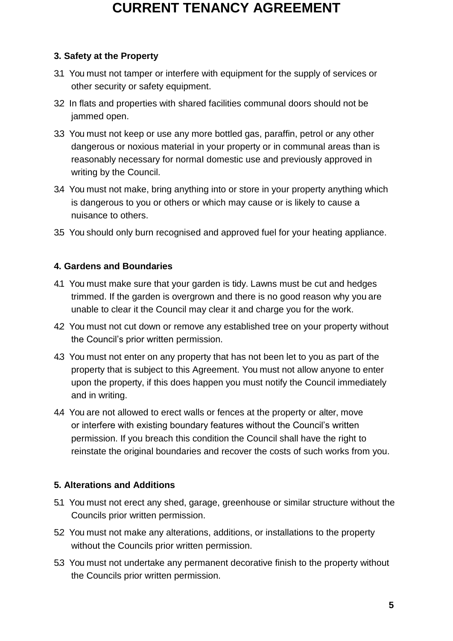### **3. Safety at the Property**

- 3.1 You must not tamper or interfere with equipment for the supply of services or other security or safety equipment.
- 32 In flats and properties with shared facilities communal doors should not be jammed open.
- 3.3 You must not keep or use any more bottled gas, paraffin, petrol or any other dangerous or noxious materiaI in your property or in communal areas than is reasonably necessary for normaI domestic use and previously approved in writing by the Council.
- 3.4 You must not make, bring anything into or store in your property anything which is dangerous to you or others or which may cause or is likely to cause a nuisance to others.
- 3.5 You should only burn recognised and approved fuel for your heating appliance.

### **4. Gardens and Boundaries**

- 4.1 You must make sure that your garden is tidy. Lawns must be cut and hedges trimmed. If the garden is overgrown and there is no good reason why you are unable to clear it the Council may clear it and charge you for the work.
- 4.2 You must not cut down or remove any established tree on your property without the Council's prior written permission.
- 4.3 You must not enter on any property that has not been let to you as part of the property that is subject to this Agreement. You must not allow anyone to enter upon the property, if this does happen you must notify the Council immediately and in writing.
- 4.4 You are not allowed to erect walls or fences at the property or alter, move or interfere with existing boundary features without the Council's written permission. If you breach this condition the Council shall have the right to reinstate the original boundaries and recover the costs of such works from you.

### **5. Alterations and Additions**

- 5.1 You must not erect any shed, garage, greenhouse or similar structure without the Councils prior written permission.
- 5.2 You must not make any alterations, additions, or installations to the property without the Councils prior written permission.
- 5.3 You must not undertake any permanent decorative finish to the property without the Councils prior written permission.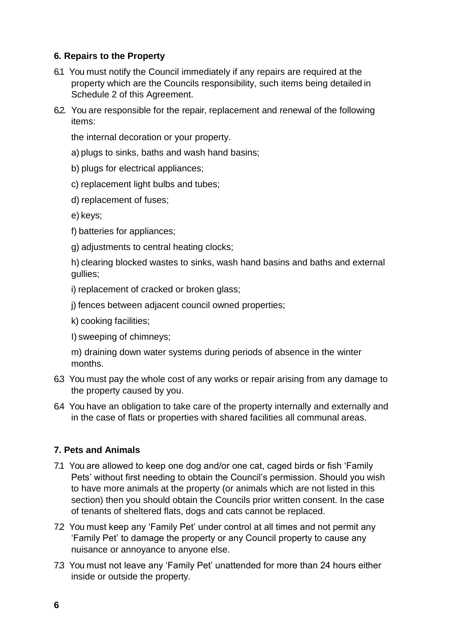#### **6. Repairs to the Property**

- 6.1 You must notify the Council immediately if any repairs are required at the property which are the Councils responsibility, such items being detailed in Schedule 2 of this Agreement.
- 62. You are responsible for the repair, replacement and renewal of the following items:

the internal decoration or your property.

- a) plugs to sinks, baths and wash hand basins;
- b) plugs for electrical appliances;
- c) replacement light bulbs and tubes;
- d) replacement of fuses;
- e) keys;
- f) batteries for appliances;
- g) adjustments to central heating clocks;

h) clearing blocked wastes to sinks, wash hand basins and baths and external gullies;

- i) replacement of cracked or broken glass;
- j) fences between adjacent council owned properties;
- k) cooking facilities;
- I) sweeping of chimneys;

m) draining down water systems during periods of absence in the winter months.

- 6.3 You must pay the whole cost of any works or repair arising from any damage to the property caused by you.
- 6.4 You have an obligation to take care of the property internally and externally and in the case of flats or properties with shared facilities all communal areas.

#### **7. Pets and Animals**

- 7.1 You are allowed to keep one dog and/or one cat, caged birds or fish 'Family Pets' without first needing to obtain the Council's permission. Should you wish to have more animals at the property (or animals which are not listed in this section) then you should obtain the Councils prior written consent. In the case of tenants of sheltered flats, dogs and cats cannot be replaced.
- 72 You must keep any 'Family Pet' under control at all times and not permit any 'Family Pet' to damage the property or any Council property to cause any nuisance or annoyance to anyone else.
- 7.3 You must not leave any 'Family Pet' unattended for more than 24 hours either inside or outside the property.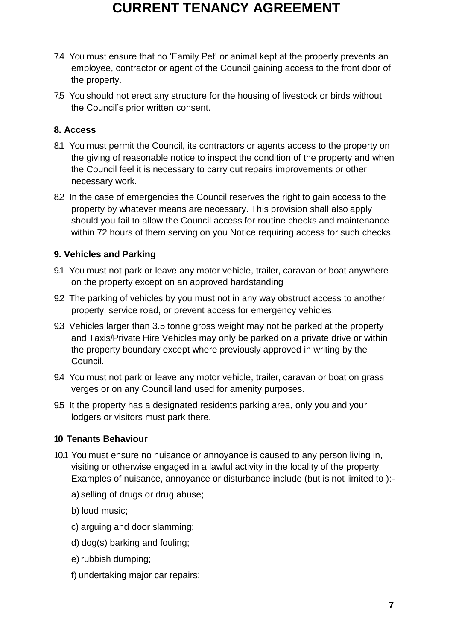- 7.4 You must ensure that no 'Family Pet' or animal kept at the property prevents an employee, contractor or agent of the Council gaining access to the front door of the property.
- 7.5 You should not erect any structure for the housing of livestock or birds without the Council's prior written consent.

#### **8. Access**

- 8.1 You must permit the Council, its contractors or agents access to the property on the giving of reasonable notice to inspect the condition of the property and when the Council feel it is necessary to carry out repairs improvements or other necessary work.
- 8.2 In the case of emergencies the Council reserves the right to gain access to the property by whatever means are necessary. This provision shall also apply should you fail to allow the Council access for routine checks and maintenance within 72 hours of them serving on you Notice requiring access for such checks.

#### **9. Vehicles and Parking**

- 9.1 You must not park or leave any motor vehicle, trailer, caravan or boat anywhere on the property except on an approved hardstanding
- 9.2 The parking of vehicles by you must not in any way obstruct access to another property, service road, or prevent access for emergency vehicles.
- 9.3 Vehicles larger than 3.5 tonne gross weight may not be parked at the property and Taxis/Private Hire Vehicles may only be parked on a private drive or within the property boundary except where previously approved in writing by the Council.
- 9.4 You must not park or leave any motor vehicle, trailer, caravan or boat on grass verges or on any Council land used for amenity purposes.
- 9.5 It the property has a designated residents parking area, only you and your lodgers or visitors must park there.

### **10 Tenants Behaviour**

- 10.1 You must ensure no nuisance or annoyance is caused to any person living in, visiting or otherwise engaged in a lawful activity in the locality of the property. Examples of nuisance, annoyance or disturbance include (but is not limited to ):
	- a) selling of drugs or drug abuse;
	- b) loud music;
	- c) arguing and door slamming;
	- d) dog(s) barking and fouling;
	- e) rubbish dumping;
	- f) undertaking major car repairs;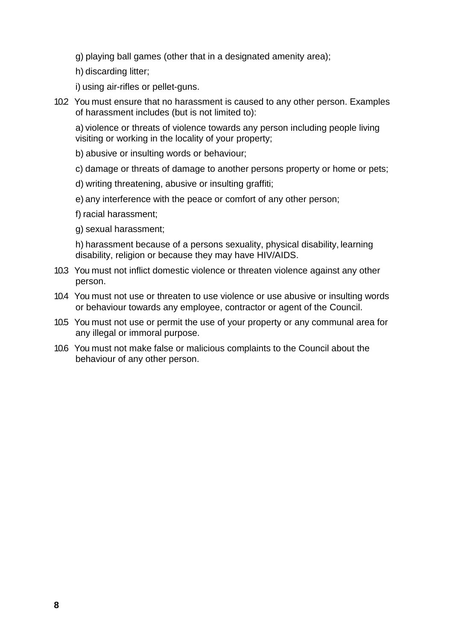- g) playing ball games (other that in a designated amenity area);
- h) discarding litter;
- i) using air-rifles or pellet-guns.
- 10.2 You must ensure that no harassment is caused to any other person. Examples of harassment includes (but is not limited to):

a) violence or threats of violence towards any person including people living visiting or working in the locality of your property;

- b) abusive or insulting words or behaviour;
- c) damage or threats of damage to another persons property or home or pets;
- d) writing threatening, abusive or insulting graffiti;
- e) any interference with the peace or comfort of any other person;
- f) racial harassment;
- g) sexual harassment;

h) harassment because of a persons sexuality, physical disability, learning disability, religion or because they may have HIV/AIDS.

- 10.3 You must not inflict domestic violence or threaten violence against any other person.
- 10.4 You must not use or threaten to use violence or use abusive or insulting words or behaviour towards any employee, contractor or agent of the Council.
- 10.5 You must not use or permit the use of your property or any communal area for any illegal or immoral purpose.
- 10.6 You must not make false or malicious complaints to the Council about the behaviour of any other person.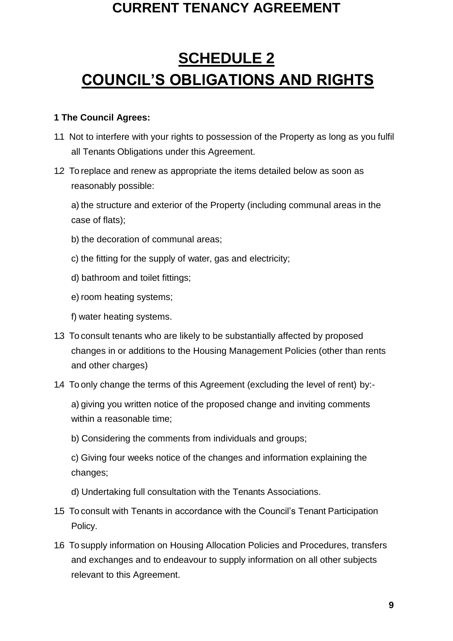# **SCHEDULE 2 COUNCIL'S OBLlGATIONS AND RIGHTS**

#### **1 The Council Agrees:**

- 1.1 Not to interfere with your rights to possession of the Property as long as you fulfil all Tenants Obligations under this Agreement.
- 1.2 To replace and renew as appropriate the items detailed below as soon as reasonably possible:

a) the structure and exterior of the Property (including communal areas in the case of flats);

- b) the decoration of communal areas;
- c) the fitting for the supply of water, gas and electricity;
- d) bathroom and toilet fittings;
- e) room heating systems;
- f) water heating systems.
- 1.3 To consult tenants who are likely to be substantially affected by proposed changes in or additions to the Housing Management Policies (other than rents and other charges)
- 1.4 To only change the terms of this Agreement (excluding the level of rent) by:-

a) giving you written notice of the proposed change and inviting comments within a reasonable time;

b) Considering the comments from individuals and groups;

c) Giving four weeks notice of the changes and information explaining the changes;

- d) Undertaking full consultation with the Tenants Associations.
- 1.5 To consult with Tenants in accordance with the Council's Tenant Participation Policy.
- 1.6 To supply information on Housing Allocation Policies and Procedures, transfers and exchanges and to endeavour to supply information on all other subjects relevant to this Agreement.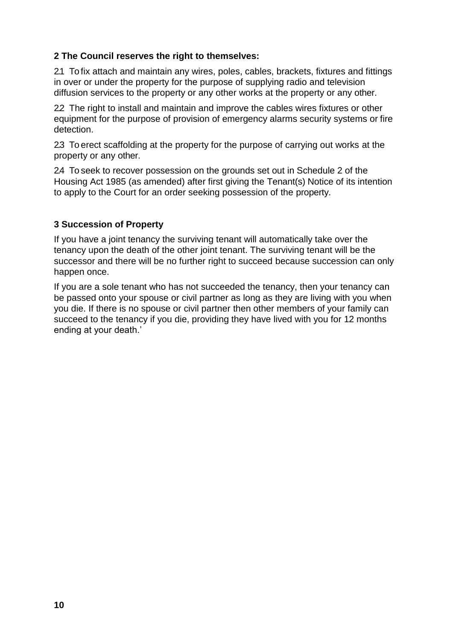#### **2 The Council reserves the right to themselves:**

2.1 To fix attach and maintain any wires, poles, cables, brackets, fixtures and fittings in over or under the property for the purpose of supplying radio and television diffusion services to the property or any other works at the property or any other.

2.2 The right to install and maintain and improve the cables wires fixtures or other equipment for the purpose of provision of emergency alarms security systems or fire detection.

2.3 To erect scaffolding at the property for the purpose of carrying out works at the property or any other.

2.4 To seek to recover possession on the grounds set out in Schedule 2 of the Housing Act 1985 (as amended) after first giving the Tenant(s) Notice of its intention to apply to the Court for an order seeking possession of the property.

#### **3 Succession of Property**

If you have a joint tenancy the surviving tenant will automatically take over the tenancy upon the death of the other joint tenant. The surviving tenant will be the successor and there will be no further right to succeed because succession can only happen once.

If you are a sole tenant who has not succeeded the tenancy, then your tenancy can be passed onto your spouse or civil partner as long as they are living with you when you die. If there is no spouse or civil partner then other members of your family can succeed to the tenancy if you die, providing they have lived with you for 12 months ending at your death.'